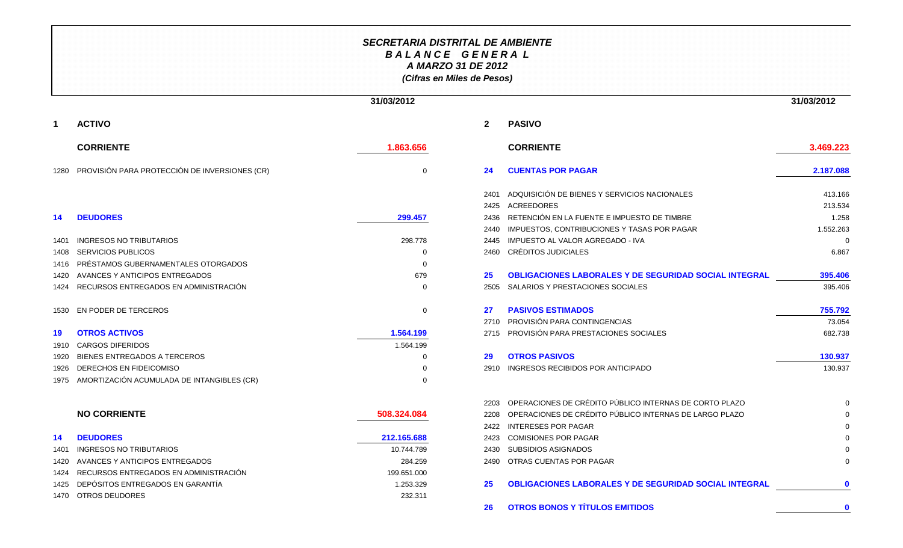## **SECRETARIA DISTRITAL DE AMBIENTEB A L A N C E G E N E R A LA MARZO 31 DE 2012(Cifras en Miles de Pesos)**

|             |                                                    | 31/03/2012  |              |                                                              | 31/03/2012  |
|-------------|----------------------------------------------------|-------------|--------------|--------------------------------------------------------------|-------------|
| $\mathbf 1$ | <b>ACTIVO</b>                                      |             | $\mathbf{2}$ | <b>PASIVO</b>                                                |             |
|             | <b>CORRIENTE</b>                                   | 1.863.656   |              | <b>CORRIENTE</b>                                             | 3.469.223   |
|             | 1280 PROVISIÓN PARA PROTECCIÓN DE INVERSIONES (CR) | $\Omega$    | 24           | <b>CUENTAS POR PAGAR</b>                                     | 2.187.088   |
|             |                                                    |             | 2401         | ADQUISICIÓN DE BIENES Y SERVICIOS NACIONALES                 | 413.166     |
|             |                                                    |             | 2425         | <b>ACREEDORES</b>                                            | 213.534     |
| 14          | <b>DEUDORES</b>                                    | 299.457     | 2436         | RETENCIÓN EN LA FUENTE E IMPUESTO DE TIMBRE                  | 1.258       |
|             |                                                    |             | 2440         | IMPUESTOS, CONTRIBUCIONES Y TASAS POR PAGAR                  | 1.552.263   |
| 1401        | <b>INGRESOS NO TRIBUTARIOS</b>                     | 298,778     | 2445         | IMPUESTO AL VALOR AGREGADO - IVA                             | $\Omega$    |
| 1408        | <b>SERVICIOS PUBLICOS</b>                          | $\Omega$    | 2460         | <b>CRÉDITOS JUDICIALES</b>                                   | 6.867       |
| 1416        | PRÉSTAMOS GUBERNAMENTALES OTORGADOS                | $\Omega$    |              |                                                              |             |
| 1420        | AVANCES Y ANTICIPOS ENTREGADOS                     | 679         | 25           | OBLIGACIONES LABORALES Y DE SEGURIDAD SOCIAL INTEGRAL        | 395.406     |
| 1424        | RECURSOS ENTREGADOS EN ADMINISTRACIÓN              | $\Omega$    | 2505         | SALARIOS Y PRESTACIONES SOCIALES                             | 395.406     |
| 1530        | EN PODER DE TERCEROS                               | 0           | 27           | <b>PASIVOS ESTIMADOS</b>                                     | 755.792     |
|             |                                                    |             | 2710         | PROVISIÓN PARA CONTINGENCIAS                                 | 73.054      |
| 19          | <b>OTROS ACTIVOS</b>                               | 1.564.199   | 2715         | PROVISIÓN PARA PRESTACIONES SOCIALES                         | 682.738     |
| 1910        | <b>CARGOS DIFERIDOS</b>                            | 1.564.199   |              |                                                              |             |
| 1920        | BIENES ENTREGADOS A TERCEROS                       | O           | 29           | <b>OTROS PASIVOS</b>                                         | 130.937     |
| 1926        | DERECHOS EN FIDEICOMISO                            | $\Omega$    | 2910         | INGRESOS RECIBIDOS POR ANTICIPADO                            | 130.937     |
| 1975        | AMORTIZACIÓN ACUMULADA DE INTANGIBLES (CR)         | $\Omega$    |              |                                                              |             |
|             |                                                    |             | 2203         | OPERACIONES DE CRÉDITO PÚBLICO INTERNAS DE CORTO PLAZO       |             |
|             | <b>NO CORRIENTE</b>                                | 508.324.084 | 2208         | OPERACIONES DE CRÉDITO PÚBLICO INTERNAS DE LARGO PLAZO       |             |
|             |                                                    |             | 2422         | <b>INTERESES POR PAGAR</b>                                   |             |
| -14         | <b>DEUDORES</b>                                    | 212.165.688 | 2423         | <b>COMISIONES POR PAGAR</b>                                  |             |
| 1401        | <b>INGRESOS NO TRIBUTARIOS</b>                     | 10.744.789  | 2430         | <b>SUBSIDIOS ASIGNADOS</b>                                   |             |
| 1420        | AVANCES Y ANTICIPOS ENTREGADOS                     | 284.259     | 2490         | <b>OTRAS CUENTAS POR PAGAR</b>                               |             |
| 1424        | RECURSOS ENTREGADOS EN ADMINISTRACIÓN              | 199.651.000 |              |                                                              |             |
| 1425        | DEPÓSITOS ENTREGADOS EN GARANTÍA                   | 1.253.329   | 25           | <b>OBLIGACIONES LABORALES Y DE SEGURIDAD SOCIAL INTEGRAL</b> | $\mathbf 0$ |
| 1470        | <b>OTROS DEUDORES</b>                              | 232.311     |              |                                                              |             |
|             |                                                    |             | 26           | <b>OTROS BONOS Y TÍTULOS EMITIDOS</b>                        | $\mathbf 0$ |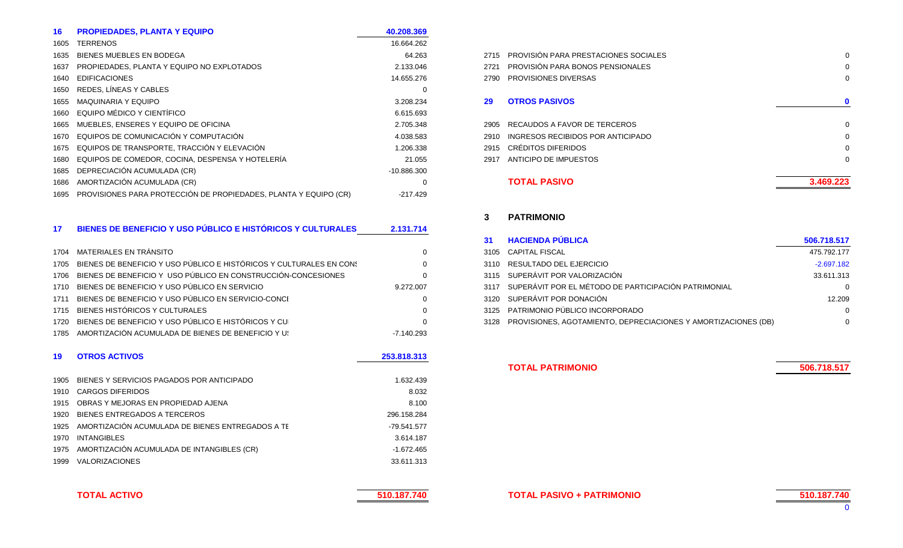| <b>PROPIEDADES, PLANTA Y EQUIPO</b>              | 40.208.369                                                                                                                        |      |                                   |
|--------------------------------------------------|-----------------------------------------------------------------------------------------------------------------------------------|------|-----------------------------------|
| <b>TERRENOS</b>                                  | 16.664.262                                                                                                                        |      |                                   |
| <b>BIENES MUEBLES EN BODEGA</b>                  | 64.263                                                                                                                            | 2715 | PROVISIÓN PARA PRESTACIONES SOCIA |
| PROPIEDADES, PLANTA Y EQUIPO NO EXPLOTADOS       | 2.133.046                                                                                                                         | 2721 | PROVISIÓN PARA BONOS PENSIONALES  |
| <b>EDIFICACIONES</b>                             | 14.655.276                                                                                                                        | 2790 | <b>PROVISIONES DIVERSAS</b>       |
| REDES, LÍNEAS Y CABLES                           | 0                                                                                                                                 |      |                                   |
| <b>MAQUINARIA Y EQUIPO</b>                       | 3.208.234                                                                                                                         | 29   | <b>OTROS PASIVOS</b>              |
| EQUIPO MÉDICO Y CIENTÍFICO                       | 6.615.693                                                                                                                         |      |                                   |
| MUEBLES, ENSERES Y EQUIPO DE OFICINA             | 2.705.348                                                                                                                         | 2905 | RECAUDOS A FAVOR DE TERCEROS      |
| EQUIPOS DE COMUNICACIÓN Y COMPUTACIÓN            | 4.038.583                                                                                                                         | 2910 | INGRESOS RECIBIDOS POR ANTICIPADO |
|                                                  | 1.206.338                                                                                                                         | 2915 | CRÉDITOS DIFERIDOS                |
| EQUIPOS DE COMEDOR, COCINA, DESPENSA Y HOTELERÍA | 21.055                                                                                                                            | 2917 | ANTICIPO DE IMPUESTOS             |
| DEPRECIACIÓN ACUMULADA (CR)                      | $-10.886.300$                                                                                                                     |      |                                   |
| AMORTIZACIÓN ACUMULADA (CR)                      | 0                                                                                                                                 |      | <b>TOTAL PASIVO</b>               |
|                                                  | -217.429                                                                                                                          |      |                                   |
|                                                  | 1665<br>1675 EQUIPOS DE TRANSPORTE, TRACCIÓN Y ELEVACIÓN<br>1695 PROVISIONES PARA PROTECCIÓN DE PROPIEDADES, PLANTA Y EQUIPO (CR) |      |                                   |

| <b>BIENES DE BENEFICIO Y USO PÚBLICO E HISTÓRICOS Y CULTURALES</b> |  | 2.131.714 |
|--------------------------------------------------------------------|--|-----------|
|                                                                    |  |           |

| 1704 MATERIALES EN TRÁNSITO                                              |              | 3105 CAPITAL FISCAL                  |
|--------------------------------------------------------------------------|--------------|--------------------------------------|
| 1705 BIENES DE BENEFICIO Y USO PÚBLICO E HISTÓRICOS Y CULTURALES EN CONS |              | 3110 RESULTADO DEL EJERCICIO         |
| 1706 BIENES DE BENEFICIO Y USO PÚBLICO EN CONSTRUCCIÓN-CONCESIONES       |              | 3115 SUPERÁVIT POR VALORIZACIÓN      |
| 1710 BIENES DE BENEFICIO Y USO PÚBLICO EN SERVICIO                       | 9.272.007    | 3117 SUPERÁVIT POR EL MÉTODO DE PART |
| 1711 BIENES DE BENEFICIO Y USO PÚBLICO EN SERVICIO-CONCI                 |              | 3120 SUPERÁVIT POR DONACIÓN          |
| 1715 BIENES HISTÓRICOS Y CULTURALES                                      | 0            | 3125 PATRIMONIO PÚBLICO INCORPORADO  |
| 1720 BIENES DE BENEFICIO Y USO PÚBLICO E HISTÓRICOS Y CU                 |              | 3128 PROVISIONES, AGOTAMIENTO, DEPRE |
| 1785 AMORTIZACIÓN ACUMULADA DE BIENES DE BENEFICIO Y U:                  | $-7.140.293$ |                                      |
|                                                                          |              |                                      |

| 19   | <b>OTROS ACTIVOS</b>                             | 253,818,313  |
|------|--------------------------------------------------|--------------|
| 1905 | BIENES Y SERVICIOS PAGADOS POR ANTICIPADO        | 1.632.439    |
| 1910 | CARGOS DIFERIDOS                                 | 8.032        |
| 1915 | OBRAS Y MEJORAS EN PROPIEDAD AJENA               | 8.100        |
| 1920 | BIENES ENTREGADOS A TERCEROS                     | 296.158.284  |
| 1925 | AMORTIZACIÓN ACUMULADA DE BIENES ENTREGADOS A TE | -79.541.577  |
| 1970 | <b>INTANGIBLES</b>                               | 3.614.187    |
| 1975 | AMORTIZACIÓN ACUMULADA DE INTANGIBLES (CR)       | $-1.672.465$ |
| 1999 | <b>VALORIZACIONES</b>                            | 33.611.313   |

| <b>TOTAL ACTIVO</b> |  |
|---------------------|--|
|                     |  |

|                                                                                                                                                                                                                                                                                                                   | 10.004.202    |      |                                           |              |
|-------------------------------------------------------------------------------------------------------------------------------------------------------------------------------------------------------------------------------------------------------------------------------------------------------------------|---------------|------|-------------------------------------------|--------------|
| ES EN BODEGA                                                                                                                                                                                                                                                                                                      | 64.263        |      | 2715 PROVISIÓN PARA PRESTACIONES SOCIALES | 0            |
| . PLANTA Y EQUIPO NO EXPLOTADOS                                                                                                                                                                                                                                                                                   | 2.133.046     |      | 2721 PROVISIÓN PARA BONOS PENSIONALES     | 0            |
|                                                                                                                                                                                                                                                                                                                   | 14.655.276    |      | 2790 PROVISIONES DIVERSAS                 | 0            |
| <b>SY CABLES</b>                                                                                                                                                                                                                                                                                                  | 0             |      |                                           |              |
| <b>EQUIPO</b>                                                                                                                                                                                                                                                                                                     | 3.208.234     | 29   | <b>OTROS PASIVOS</b>                      | $\mathbf{0}$ |
| CO Y CIENTÍFICO                                                                                                                                                                                                                                                                                                   | 6.615.693     |      |                                           |              |
| ERES Y EQUIPO DE OFICINA                                                                                                                                                                                                                                                                                          | 2.705.348     |      | 2905 RECAUDOS A FAVOR DE TERCEROS         | 0            |
| OMUNICACIÓN Y COMPUTACIÓN                                                                                                                                                                                                                                                                                         | 4.038.583     | 2910 | INGRESOS RECIBIDOS POR ANTICIPADO         | $\Omega$     |
| RANSPORTE. TRACCIÓN Y ELEVACIÓN                                                                                                                                                                                                                                                                                   | 1.206.338     |      | 2915 CRÉDITOS DIFERIDOS                   | $\Omega$     |
| OMEDOR. COCINA. DESPENSA Y HOTELERÍA                                                                                                                                                                                                                                                                              | 21.055        | 2917 | ANTICIPO DE IMPUESTOS                     | 0            |
| N ACUMULADA (CR)                                                                                                                                                                                                                                                                                                  | $-10.886.300$ |      |                                           |              |
| N ACUMULADA (CR)                                                                                                                                                                                                                                                                                                  | 0             |      | <b>TOTAL PASIVO</b>                       | 3.469.223    |
| $\mathcal{L}$ and $\mathcal{L}$ and $\mathcal{L}$ and $\mathcal{L}$ and $\mathcal{L}$ and $\mathcal{L}$ and $\mathcal{L}$ and $\mathcal{L}$ and $\mathcal{L}$ and $\mathcal{L}$ and $\mathcal{L}$ and $\mathcal{L}$ and $\mathcal{L}$ and $\mathcal{L}$ and $\mathcal{L}$ and $\mathcal{L}$ and $\mathcal{L}$ and |               |      |                                           |              |

## **3 PATRIMONIO**

|                                               |           | <b>HACIENDA PUBLICA</b>                                             | 506.718.517  |
|-----------------------------------------------|-----------|---------------------------------------------------------------------|--------------|
|                                               |           | 3105 CAPITAL FISCAL                                                 | 475.792.177  |
| JSO PÚBLICO E HISTÓRICOS Y CULTURALES EN CONS |           | 3110 RESULTADO DEL EJERCICIO                                        | $-2.697.182$ |
| USO PÚBLICO EN CONSTRUCCIÓN-CONCESIONES       |           | 3115 SUPERÁVIT POR VALORIZACIÓN                                     | 33.611.313   |
| JSO PÚBLICO EN SERVICIO                       | 9.272.007 | 3117 SUPERÁVIT POR EL MÉTODO DE PARTICIPACIÓN PATRIMONIAL           | $\Omega$     |
| JSO PÚBLICO EN SERVICIO-CONCI                 |           | 3120 SUPERÁVIT POR DONACIÓN                                         | 12.209       |
| <b>JLTURALES</b>                              |           | 3125 PATRIMONIO PÚBLICO INCORPORADO                                 | $\Omega$     |
| JSO PÚBLICO E HISTÓRICOS Y CU                 |           | 3128 PROVISIONES, AGOTAMIENTO, DEPRECIACIONES Y AMORTIZACIONES (DB) | $\mathbf 0$  |
|                                               |           |                                                                     |              |

**TOTAL PATRIMONIO**

**506.718.517**